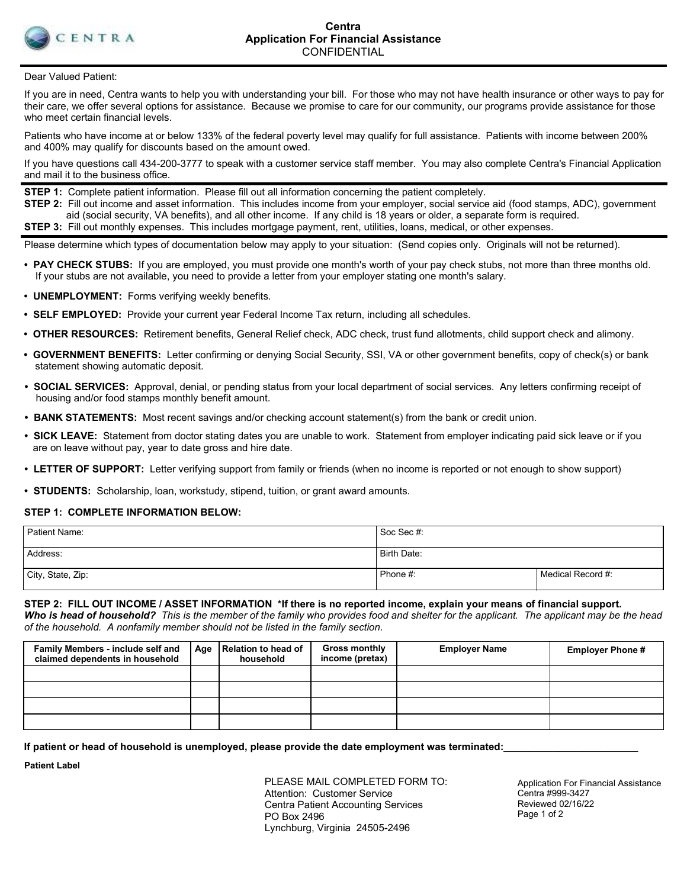

Dear Valued Patient:

If you are in need, Centra wants to help you with understanding your bill. For those who may not have health insurance or other ways to pay for their care, we offer several options for assistance. Because we promise to care for our community, our programs provide assistance for those who meet certain financial levels.

Patients who have income at or below 133% of the federal poverty level may qualify for full assistance. Patients with income between 200% and 400% may qualify for discounts based on the amount owed.

If you have questions call 434-200-3777 to speak with a customer service staff member. You may also complete Centra's Financial Application and mail it to the business office.

**STEP 1:** Complete patient information. Please fill out all information concerning the patient completely.

**STEP 2:** Fill out income and asset information. This includes income from your employer, social service aid (food stamps, ADC), government aid (social security, VA benefits), and all other income. If any child is 18 years or older, a separate form is required. **STEP 3:** Fill out monthly expenses. This includes mortgage payment, rent, utilities, loans, medical, or other expenses.

Please determine which types of documentation below may apply to your situation: (Send copies only. Originals will not be returned).

- **PAY CHECK STUBS:** If you are employed, you must provide one month's worth of your pay check stubs, not more than three months old. If your stubs are not available, you need to provide a letter from your employer stating one month's salary.
- **UNEMPLOYMENT:** Forms verifying weekly benefits.
- **SELF EMPLOYED:** Provide your current year Federal Income Tax return, including all schedules.
- **OTHER RESOURCES:** Retirement benefits, General Relief check, ADC check, trust fund allotments, child support check and alimony.
- **GOVERNMENT BENEFITS:** Letter confirming or denying Social Security, SSI, VA or other government benefits, copy of check(s) or bank statement showing automatic deposit.
- **SOCIAL SERVICES:** Approval, denial, or pending status from your local department of social services. Any letters confirming receipt of housing and/or food stamps monthly benefit amount.
- **BANK STATEMENTS:** Most recent savings and/or checking account statement(s) from the bank or credit union.
- **SICK LEAVE:** Statement from doctor stating dates you are unable to work. Statement from employer indicating paid sick leave or if you are on leave without pay, year to date gross and hire date.
- **LETTER OF SUPPORT:** Letter verifying support from family or friends (when no income is reported or not enough to show support)
- **STUDENTS:** Scholarship, loan, workstudy, stipend, tuition, or grant award amounts.

#### **STEP 1: COMPLETE INFORMATION BELOW:**

| Patient Name:     | Soc Sec #:  |                   |
|-------------------|-------------|-------------------|
| Address:          | Birth Date: |                   |
| City, State, Zip: | Phone #:    | Medical Record #: |

**STEP 2: FILL OUT INCOME / ASSET INFORMATION \*If there is no reported income, explain your means of financial support.** 

*Who is head of household? This is the member of the family who provides food and shelter for the applicant. The applicant may be the head of the household. A nonfamily member should not be listed in the family section.*

| Family Members - include self and<br>claimed dependents in household | Age | Relation to head of<br>household | <b>Gross monthly</b><br>income (pretax) | <b>Employer Name</b> | <b>Employer Phone #</b> |
|----------------------------------------------------------------------|-----|----------------------------------|-----------------------------------------|----------------------|-------------------------|
|                                                                      |     |                                  |                                         |                      |                         |
|                                                                      |     |                                  |                                         |                      |                         |
|                                                                      |     |                                  |                                         |                      |                         |
|                                                                      |     |                                  |                                         |                      |                         |

If patient or head of household is unemployed, please provide the date employment was terminated:

**Patient Label**

PLEASE MAIL COMPLETED FORM TO: Attention: Customer Service Centra Patient Accounting Services PO Box 2496 Lynchburg, Virginia 24505-2496

Application For Financial Assistance Centra #999-3427 Reviewed 02/16/22 Page 1 of 2